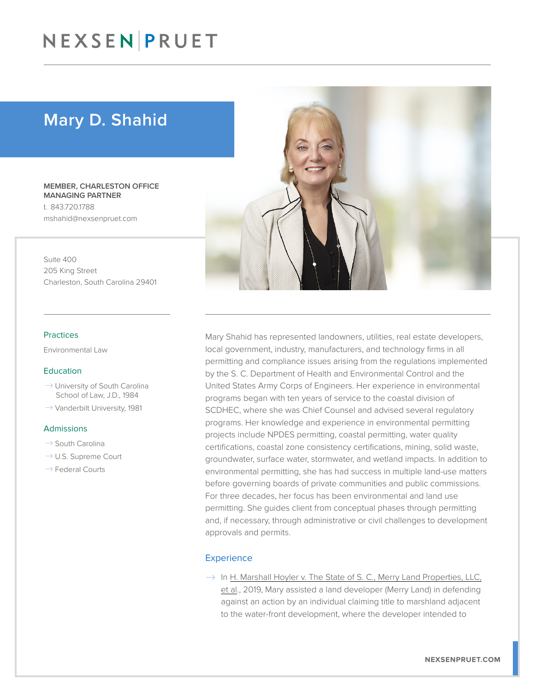# NEXSENPRUET

## Mary D. Shahid

MEMBER, CHARLESTON OFFICE MANAGING PARTNER t. 843.720.1788 mshahid@nexsenpruet.com

Suite 400 205 King Street Charleston, South Carolina 29401

#### Practices

Environmental Law

#### Education

- $\rightarrow$  University of South Carolina School of Law, J.D., 1984
- $\rightarrow$  Vanderbilt University, 1981

#### Admissions

- $\rightarrow$  South Carolina
- $\rightarrow$  U.S. Supreme Court
- $\rightarrow$  Federal Courts



Mary Shahid has represented landowners, utilities, real estate developers, local government, industry, manufacturers, and technology firms in all permitting and compliance issues arising from the regulations implemented by the S. C. Department of Health and Environmental Control and the United States Army Corps of Engineers. Her experience in environmental programs began with ten years of service to the coastal division of SCDHEC, where she was Chief Counsel and advised several regulatory programs. Her knowledge and experience in environmental permitting projects include NPDES permitting, coastal permitting, water quality certifications, coastal zone consistency certifications, mining, solid waste, groundwater, surface water, stormwater, and wetland impacts. In addition to environmental permitting, she has had success in multiple land-use matters before governing boards of private communities and public commissions. For three decades, her focus has been environmental and land use permitting. She guides client from conceptual phases through permitting and, if necessary, through administrative or civil challenges to development approvals and permits.

### **Experience**

 $\rightarrow$  In H. Marshall Hoyler v. The State of S. C., Merry Land Properties, LLC, et al., 2019, Mary assisted a land developer (Merry Land) in defending against an action by an individual claiming title to marshland adjacent to the water-front development, where the developer intended to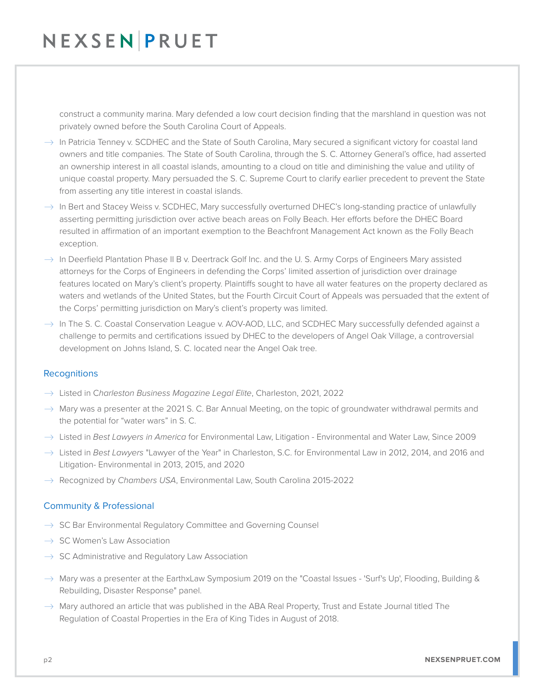# NEXSENPRUET

construct a community marina. Mary defended a low court decision finding that the marshland in question was not privately owned before the South Carolina Court of Appeals.

- $\rightarrow$  In Patricia Tenney v. SCDHEC and the State of South Carolina, Mary secured a significant victory for coastal land owners and title companies. The State of South Carolina, through the S. C. Attorney General's office, had asserted an ownership interest in all coastal islands, amounting to a cloud on title and diminishing the value and utility of unique coastal property. Mary persuaded the S. C. Supreme Court to clarify earlier precedent to prevent the State from asserting any title interest in coastal islands.
- $\rightarrow$  In Bert and Stacey Weiss v. SCDHEC, Mary successfully overturned DHEC's long-standing practice of unlawfully asserting permitting jurisdiction over active beach areas on Folly Beach. Her efforts before the DHEC Board resulted in affirmation of an important exemption to the Beachfront Management Act known as the Folly Beach exception.
- $\rightarrow$  In Deerfield Plantation Phase II B v. Deertrack Golf Inc. and the U. S. Army Corps of Engineers Mary assisted attorneys for the Corps of Engineers in defending the Corps' limited assertion of jurisdiction over drainage features located on Mary's client's property. Plaintiffs sought to have all water features on the property declared as waters and wetlands of the United States, but the Fourth Circuit Court of Appeals was persuaded that the extent of the Corps' permitting jurisdiction on Mary's client's property was limited.
- $\rightarrow$  In The S. C. Coastal Conservation League v. AOV-AOD, LLC, and SCDHEC Mary successfully defended against a challenge to permits and certifications issued by DHEC to the developers of Angel Oak Village, a controversial development on Johns Island, S. C. located near the Angel Oak tree.

### **Recognitions**

- � Listed in C*harleston Business Magazine Legal Elite*, Charleston, 2021, 2022
- $\rightarrow$  Mary was a presenter at the 2021 S. C. Bar Annual Meeting, on the topic of groundwater withdrawal permits and the potential for "water wars" in S. C.
- � Listed in *Best Lawyers in America* for Environmental Law, Litigation Environmental and Water Law, Since 2009
- � Listed in *Best Lawyers* "Lawyer of the Year" in Charleston, S.C. for Environmental Law in 2012, 2014, and 2016 and Litigation- Environmental in 2013, 2015, and 2020
- � Recognized by *Chambers USA*, Environmental Law, South Carolina 2015-2022

### Community & Professional

- $\rightarrow$  SC Bar Environmental Regulatory Committee and Governing Counsel
- $\rightarrow$  SC Women's Law Association
- $\rightarrow$  SC Administrative and Regulatory Law Association
- $\rightarrow$  Mary was a presenter at the EarthxLaw Symposium 2019 on the "Coastal Issues 'Surf's Up', Flooding, Building & Rebuilding, Disaster Response" panel.
- $\rightarrow$  Mary authored an article that was published in the ABA Real Property, Trust and Estate Journal titled The Regulation of Coastal Properties in the Era of King Tides in August of 2018.